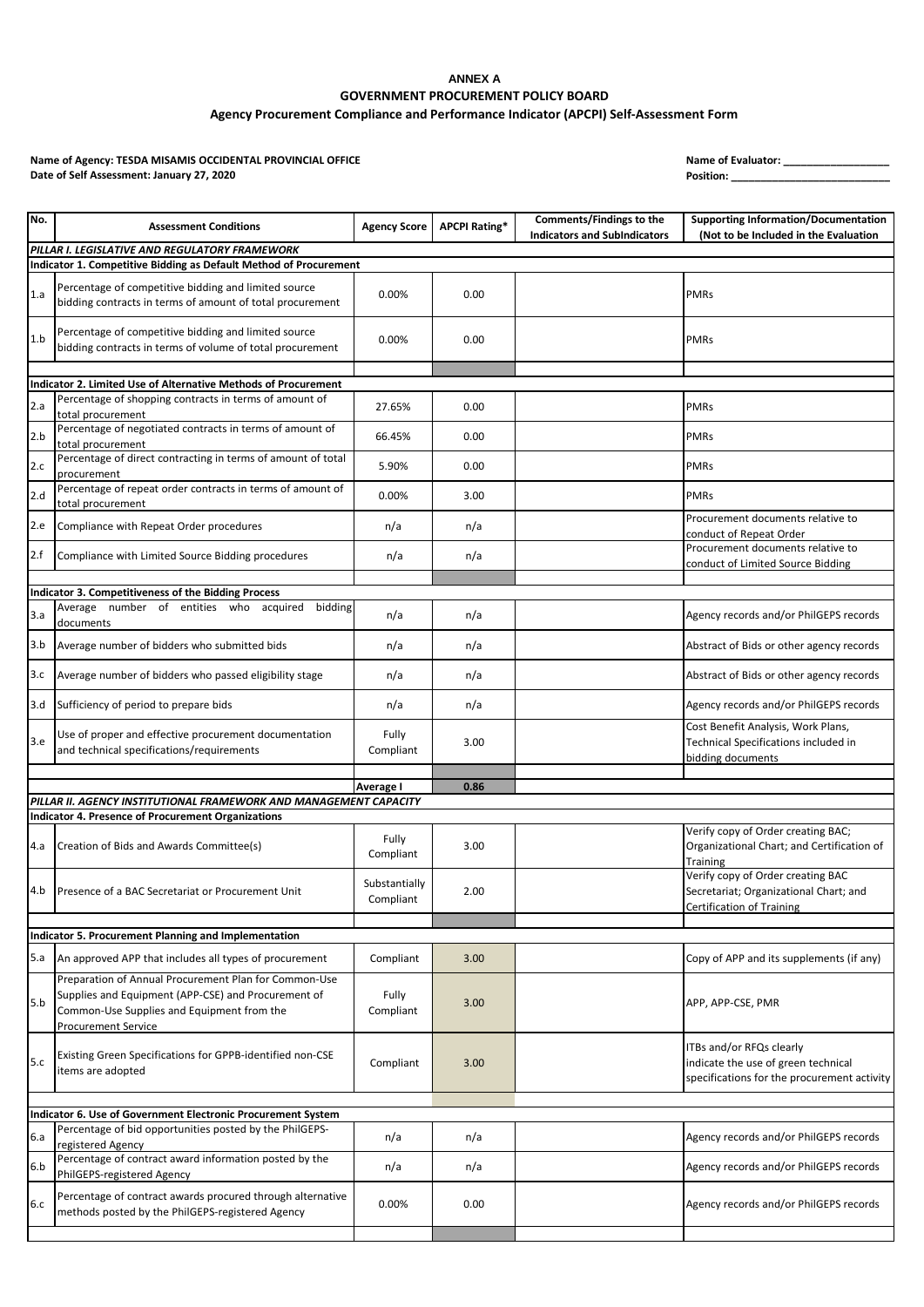# **ANNEX A GOVERNMENT PROCUREMENT POLICY BOARD**

**Agency Procurement Compliance and Performance Indicator (APCPI) Self-Assessment Form**

Name of Agency: TESDA MISAMIS OCCIDENTAL PROVINCIAL OFFICE<br>
Date of Self Assessment: January 27, 2020 **Date of Self Assessment: January 27, 2020** 

| No.        | <b>Assessment Conditions</b>                                                                                                                                                             | <b>Agency Score</b>        | <b>APCPI Rating*</b> | Comments/Findings to the<br><b>Indicators and SubIndicators</b> | <b>Supporting Information/Documentation</b><br>(Not to be Included in the Evaluation                            |  |  |
|------------|------------------------------------------------------------------------------------------------------------------------------------------------------------------------------------------|----------------------------|----------------------|-----------------------------------------------------------------|-----------------------------------------------------------------------------------------------------------------|--|--|
|            | PILLAR I. LEGISLATIVE AND REGULATORY FRAMEWORK<br>Indicator 1. Competitive Bidding as Default Method of Procurement                                                                      |                            |                      |                                                                 |                                                                                                                 |  |  |
| 1.a        | Percentage of competitive bidding and limited source<br>bidding contracts in terms of amount of total procurement                                                                        | 0.00%                      | 0.00                 |                                                                 | <b>PMRs</b>                                                                                                     |  |  |
| 1.b        | Percentage of competitive bidding and limited source<br>bidding contracts in terms of volume of total procurement                                                                        | 0.00%                      | 0.00                 |                                                                 | <b>PMRs</b>                                                                                                     |  |  |
|            |                                                                                                                                                                                          |                            |                      |                                                                 |                                                                                                                 |  |  |
|            | Indicator 2. Limited Use of Alternative Methods of Procurement<br>Percentage of shopping contracts in terms of amount of                                                                 |                            |                      |                                                                 |                                                                                                                 |  |  |
| 2.a        | total procurement                                                                                                                                                                        | 27.65%                     | 0.00                 |                                                                 | <b>PMRs</b>                                                                                                     |  |  |
| 2.b        | Percentage of negotiated contracts in terms of amount of<br>total procurement                                                                                                            | 66.45%                     | 0.00                 |                                                                 | <b>PMRs</b>                                                                                                     |  |  |
| 2.c        | Percentage of direct contracting in terms of amount of total<br>procurement                                                                                                              | 5.90%                      | 0.00                 |                                                                 | <b>PMRs</b>                                                                                                     |  |  |
| 2.d        | Percentage of repeat order contracts in terms of amount of<br>total procurement                                                                                                          | 0.00%                      | 3.00                 |                                                                 | <b>PMRs</b>                                                                                                     |  |  |
| 2.e        | Compliance with Repeat Order procedures                                                                                                                                                  | n/a                        | n/a                  |                                                                 | Procurement documents relative to<br>conduct of Repeat Order                                                    |  |  |
| 2.f        | Compliance with Limited Source Bidding procedures                                                                                                                                        | n/a                        | n/a                  |                                                                 | Procurement documents relative to<br>conduct of Limited Source Bidding                                          |  |  |
|            |                                                                                                                                                                                          |                            |                      |                                                                 |                                                                                                                 |  |  |
|            | Indicator 3. Competitiveness of the Bidding Process                                                                                                                                      |                            |                      |                                                                 |                                                                                                                 |  |  |
| 3.a        | Average number of entities who acquired bidding<br>documents                                                                                                                             | n/a                        | n/a                  |                                                                 | Agency records and/or PhilGEPS records                                                                          |  |  |
| 3.b        | Average number of bidders who submitted bids                                                                                                                                             | n/a                        | n/a                  |                                                                 | Abstract of Bids or other agency records                                                                        |  |  |
| 3.c        | Average number of bidders who passed eligibility stage                                                                                                                                   | n/a                        | n/a                  |                                                                 | Abstract of Bids or other agency records                                                                        |  |  |
| 3.d        | Sufficiency of period to prepare bids                                                                                                                                                    | n/a                        | n/a                  |                                                                 | Agency records and/or PhilGEPS records                                                                          |  |  |
| 3.e        | Use of proper and effective procurement documentation<br>and technical specifications/requirements                                                                                       | Fully<br>Compliant         | 3.00                 |                                                                 | Cost Benefit Analysis, Work Plans,<br>Technical Specifications included in<br>bidding documents                 |  |  |
|            |                                                                                                                                                                                          | Average I                  | 0.86                 |                                                                 |                                                                                                                 |  |  |
|            | PILLAR II. AGENCY INSTITUTIONAL FRAMEWORK AND MANAGEMENT CAPACITY                                                                                                                        |                            |                      |                                                                 |                                                                                                                 |  |  |
|            | <b>Indicator 4. Presence of Procurement Organizations</b><br>Verify copy of Order creating BAC;                                                                                          |                            |                      |                                                                 |                                                                                                                 |  |  |
| 4.a        | Creation of Bids and Awards Committee(s)                                                                                                                                                 | Fully<br>Compliant         | 3.00                 |                                                                 | Organizational Chart; and Certification of<br><b>Training</b>                                                   |  |  |
| 4.b        | Presence of a BAC Secretariat or Procurement Unit                                                                                                                                        | Substantially<br>Compliant | 2.00                 |                                                                 | Verify copy of Order creating BAC<br>Secretariat; Organizational Chart; and<br><b>Certification of Training</b> |  |  |
|            |                                                                                                                                                                                          |                            |                      |                                                                 |                                                                                                                 |  |  |
|            | Indicator 5. Procurement Planning and Implementation                                                                                                                                     |                            |                      |                                                                 |                                                                                                                 |  |  |
| 5.a        | An approved APP that includes all types of procurement                                                                                                                                   | Compliant                  | 3.00                 |                                                                 | Copy of APP and its supplements (if any)                                                                        |  |  |
| 5.b        | Preparation of Annual Procurement Plan for Common-Use<br>Supplies and Equipment (APP-CSE) and Procurement of<br>Common-Use Supplies and Equipment from the<br><b>Procurement Service</b> | Fully<br>Compliant         | 3.00                 |                                                                 | APP, APP-CSE, PMR                                                                                               |  |  |
| 5.c        | Existing Green Specifications for GPPB-identified non-CSE<br>items are adopted                                                                                                           | Compliant                  | 3.00                 |                                                                 | ITBs and/or RFQs clearly<br>indicate the use of green technical<br>specifications for the procurement activity  |  |  |
|            | Indicator 6. Use of Government Electronic Procurement System                                                                                                                             |                            |                      |                                                                 |                                                                                                                 |  |  |
|            | Percentage of bid opportunities posted by the PhilGEPS-                                                                                                                                  |                            |                      |                                                                 |                                                                                                                 |  |  |
| 6.a<br>6.b | registered Agency<br>Percentage of contract award information posted by the                                                                                                              | n/a                        | n/a                  |                                                                 | Agency records and/or PhilGEPS records<br>Agency records and/or PhilGEPS records                                |  |  |
|            | PhilGEPS-registered Agency                                                                                                                                                               | n/a                        | n/a                  |                                                                 |                                                                                                                 |  |  |
| 6.c        | Percentage of contract awards procured through alternative<br>methods posted by the PhilGEPS-registered Agency                                                                           | 0.00%                      | 0.00                 |                                                                 | Agency records and/or PhilGEPS records                                                                          |  |  |
|            |                                                                                                                                                                                          |                            |                      |                                                                 |                                                                                                                 |  |  |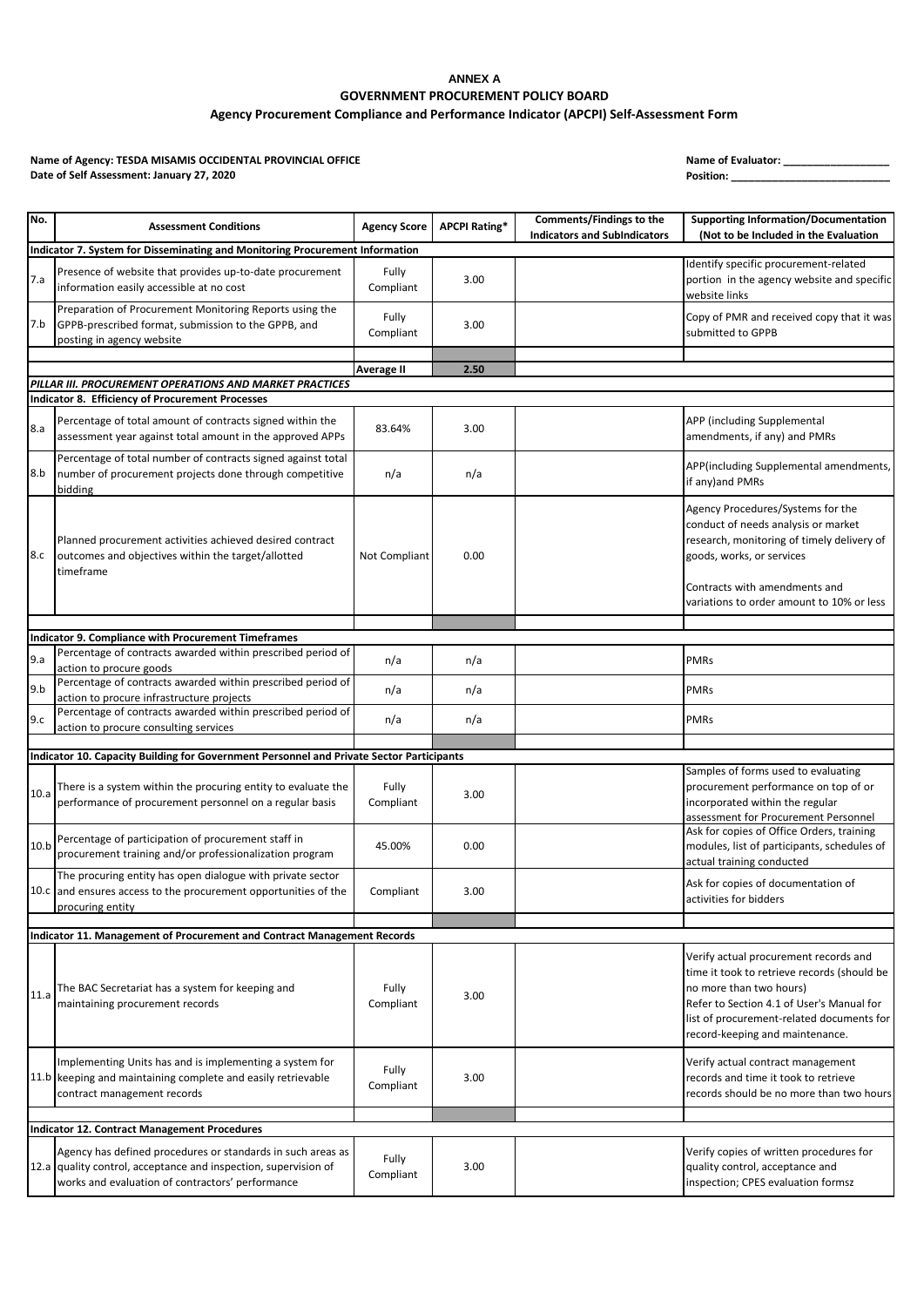# **ANNEX A GOVERNMENT PROCUREMENT POLICY BOARD**

**Agency Procurement Compliance and Performance Indicator (APCPI) Self-Assessment Form**

Name of Agency: TESDA MISAMIS OCCIDENTAL PROVINCIAL OFFICE<br>
Date of Self Assessment: January 27, 2020 **Date of Self Assessment: January 27, 2020** 

| No.  | <b>Assessment Conditions</b>                                                                                                                                                       | <b>Agency Score</b> | <b>APCPI Rating*</b> | <b>Comments/Findings to the</b><br><b>Indicators and SubIndicators</b> | <b>Supporting Information/Documentation</b><br>(Not to be Included in the Evaluation                                                                                                                                                         |  |  |  |  |
|------|------------------------------------------------------------------------------------------------------------------------------------------------------------------------------------|---------------------|----------------------|------------------------------------------------------------------------|----------------------------------------------------------------------------------------------------------------------------------------------------------------------------------------------------------------------------------------------|--|--|--|--|
|      | Indicator 7. System for Disseminating and Monitoring Procurement Information                                                                                                       |                     |                      |                                                                        |                                                                                                                                                                                                                                              |  |  |  |  |
| 7.a  | Presence of website that provides up-to-date procurement<br>information easily accessible at no cost                                                                               | Fully<br>Compliant  | 3.00                 |                                                                        | Identify specific procurement-related<br>portion in the agency website and specific<br>website links                                                                                                                                         |  |  |  |  |
| 7.b  | Preparation of Procurement Monitoring Reports using the<br>GPPB-prescribed format, submission to the GPPB, and<br>posting in agency website                                        | Fully<br>Compliant  | 3.00                 |                                                                        | Copy of PMR and received copy that it was<br>submitted to GPPB                                                                                                                                                                               |  |  |  |  |
|      |                                                                                                                                                                                    |                     |                      |                                                                        |                                                                                                                                                                                                                                              |  |  |  |  |
|      |                                                                                                                                                                                    | <b>Average II</b>   | 2.50                 |                                                                        |                                                                                                                                                                                                                                              |  |  |  |  |
|      | PILLAR III. PROCUREMENT OPERATIONS AND MARKET PRACTICES<br><b>Indicator 8. Efficiency of Procurement Processes</b>                                                                 |                     |                      |                                                                        |                                                                                                                                                                                                                                              |  |  |  |  |
| 8.a  | Percentage of total amount of contracts signed within the<br>assessment year against total amount in the approved APPs                                                             | 83.64%              | 3.00                 |                                                                        | APP (including Supplemental<br>amendments, if any) and PMRs                                                                                                                                                                                  |  |  |  |  |
| 8.b  | Percentage of total number of contracts signed against total<br>number of procurement projects done through competitive<br>bidding                                                 | n/a                 | n/a                  |                                                                        | APP(including Supplemental amendments,<br>if any) and PMRs                                                                                                                                                                                   |  |  |  |  |
| 8.c  | Planned procurement activities achieved desired contract<br>outcomes and objectives within the target/allotted<br>timeframe                                                        | Not Compliant       | 0.00                 |                                                                        | Agency Procedures/Systems for the<br>conduct of needs analysis or market<br>research, monitoring of timely delivery of<br>goods, works, or services                                                                                          |  |  |  |  |
|      |                                                                                                                                                                                    |                     |                      |                                                                        | Contracts with amendments and<br>variations to order amount to 10% or less                                                                                                                                                                   |  |  |  |  |
|      | Indicator 9. Compliance with Procurement Timeframes                                                                                                                                |                     |                      |                                                                        |                                                                                                                                                                                                                                              |  |  |  |  |
|      | Percentage of contracts awarded within prescribed period of                                                                                                                        |                     |                      |                                                                        |                                                                                                                                                                                                                                              |  |  |  |  |
| 9.a  | action to procure goods                                                                                                                                                            | n/a                 | n/a                  |                                                                        | <b>PMRs</b>                                                                                                                                                                                                                                  |  |  |  |  |
| 9.b  | Percentage of contracts awarded within prescribed period of<br>action to procure infrastructure projects                                                                           | n/a                 | n/a                  |                                                                        | <b>PMRs</b>                                                                                                                                                                                                                                  |  |  |  |  |
| 9.c  | Percentage of contracts awarded within prescribed period of<br>action to procure consulting services                                                                               | n/a                 | n/a                  |                                                                        | <b>PMRs</b>                                                                                                                                                                                                                                  |  |  |  |  |
|      |                                                                                                                                                                                    |                     |                      |                                                                        |                                                                                                                                                                                                                                              |  |  |  |  |
|      | Indicator 10. Capacity Building for Government Personnel and Private Sector Participants                                                                                           |                     |                      |                                                                        | Samples of forms used to evaluating                                                                                                                                                                                                          |  |  |  |  |
| 10.a | There is a system within the procuring entity to evaluate the<br>performance of procurement personnel on a regular basis                                                           | Fully<br>Compliant  | 3.00                 |                                                                        | procurement performance on top of or<br>incorporated within the regular<br>assessment for Procurement Personnel                                                                                                                              |  |  |  |  |
| 10.b | Percentage of participation of procurement staff in<br>procurement training and/or professionalization program                                                                     | 45.00%              | 0.00                 |                                                                        | Ask for copies of Office Orders, training<br>modules, list of participants, schedules of<br>actual training conducted                                                                                                                        |  |  |  |  |
|      | The procuring entity has open dialogue with private sector<br>10.c and ensures access to the procurement opportunities of the<br>procuring entity                                  | Compliant           | 3.00                 |                                                                        | Ask for copies of documentation of<br>activities for bidders                                                                                                                                                                                 |  |  |  |  |
|      |                                                                                                                                                                                    |                     |                      |                                                                        |                                                                                                                                                                                                                                              |  |  |  |  |
|      | Indicator 11. Management of Procurement and Contract Management Records                                                                                                            |                     |                      |                                                                        |                                                                                                                                                                                                                                              |  |  |  |  |
| 11.a | The BAC Secretariat has a system for keeping and<br>maintaining procurement records                                                                                                | Fully<br>Compliant  | 3.00                 |                                                                        | Verify actual procurement records and<br>time it took to retrieve records (should be<br>no more than two hours)<br>Refer to Section 4.1 of User's Manual for<br>list of procurement-related documents for<br>record-keeping and maintenance. |  |  |  |  |
|      | Implementing Units has and is implementing a system for<br>11.b keeping and maintaining complete and easily retrievable<br>contract management records                             | Fully<br>Compliant  | 3.00                 |                                                                        | Verify actual contract management<br>records and time it took to retrieve<br>records should be no more than two hours                                                                                                                        |  |  |  |  |
|      |                                                                                                                                                                                    |                     |                      |                                                                        |                                                                                                                                                                                                                                              |  |  |  |  |
|      | <b>Indicator 12. Contract Management Procedures</b>                                                                                                                                |                     |                      |                                                                        |                                                                                                                                                                                                                                              |  |  |  |  |
|      | Agency has defined procedures or standards in such areas as<br>12.a quality control, acceptance and inspection, supervision of<br>works and evaluation of contractors' performance | Fully<br>Compliant  | 3.00                 |                                                                        | Verify copies of written procedures for<br>quality control, acceptance and<br>inspection; CPES evaluation formsz                                                                                                                             |  |  |  |  |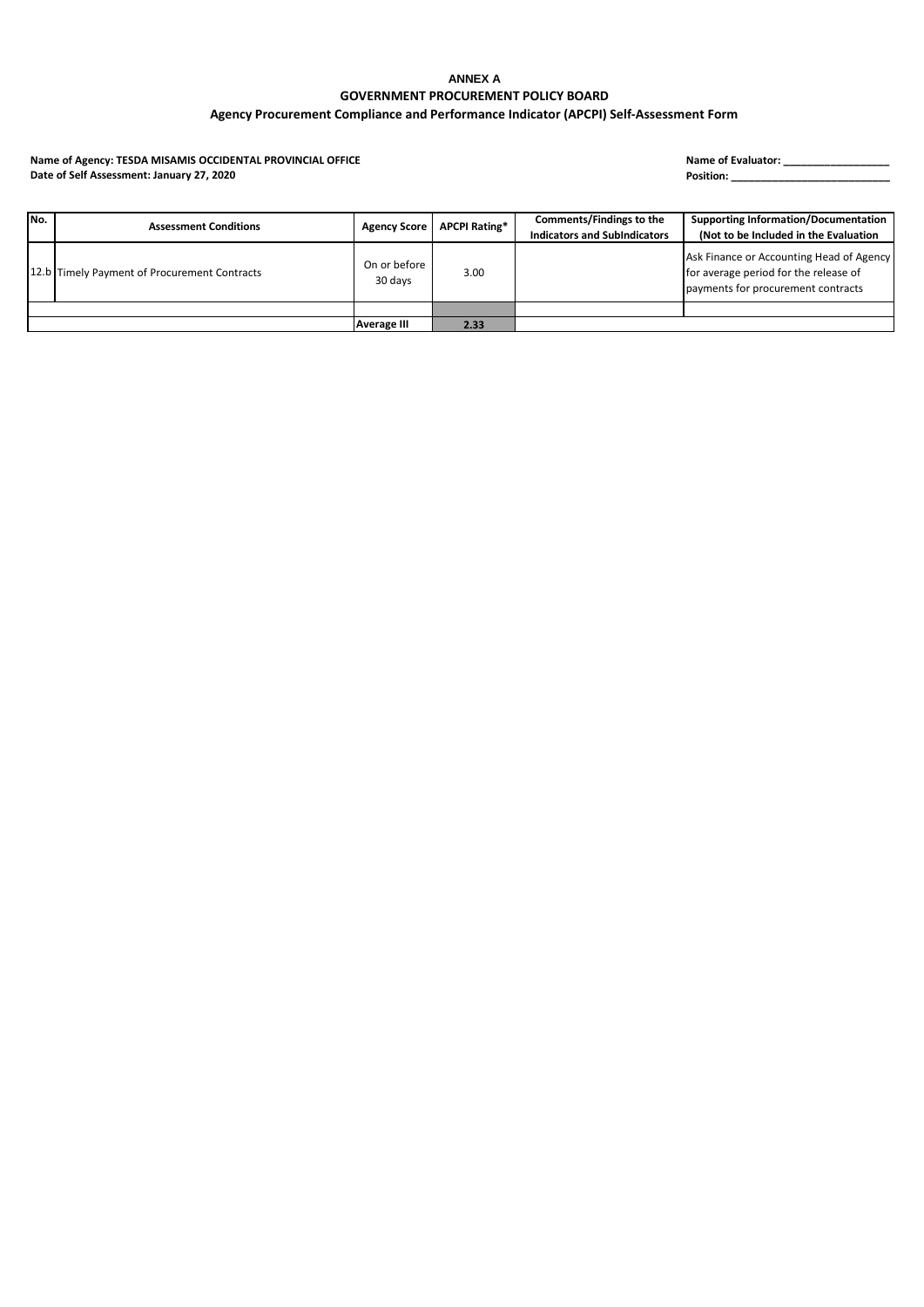### **ANNEX A GOVERNMENT PROCUREMENT POLICY BOARD Agency Procurement Compliance and Performance Indicator (APCPI) Self-Assessment Form**

Name of Agency: TESDA MISAMIS OCCIDENTAL PROVINCIAL OFFICE<br>
Date of Self Assessment: January 27, 2020 **Date of Self Assessment: January 27, 2020** 

| No. | <b>Assessment Conditions</b>                 | <b>Agency Score</b>     | <b>APCPI Rating*</b> | Comments/Findings to the<br><b>Indicators and SubIndicators</b> | <b>Supporting Information/Documentation</b><br>(Not to be Included in the Evaluation                                    |
|-----|----------------------------------------------|-------------------------|----------------------|-----------------------------------------------------------------|-------------------------------------------------------------------------------------------------------------------------|
|     | 12.b Timely Payment of Procurement Contracts | On or before<br>30 days | 3.00                 |                                                                 | Ask Finance or Accounting Head of Agency<br>for average period for the release of<br>payments for procurement contracts |
|     |                                              |                         |                      |                                                                 |                                                                                                                         |
|     |                                              | <b>Average III</b>      | 2.33                 |                                                                 |                                                                                                                         |